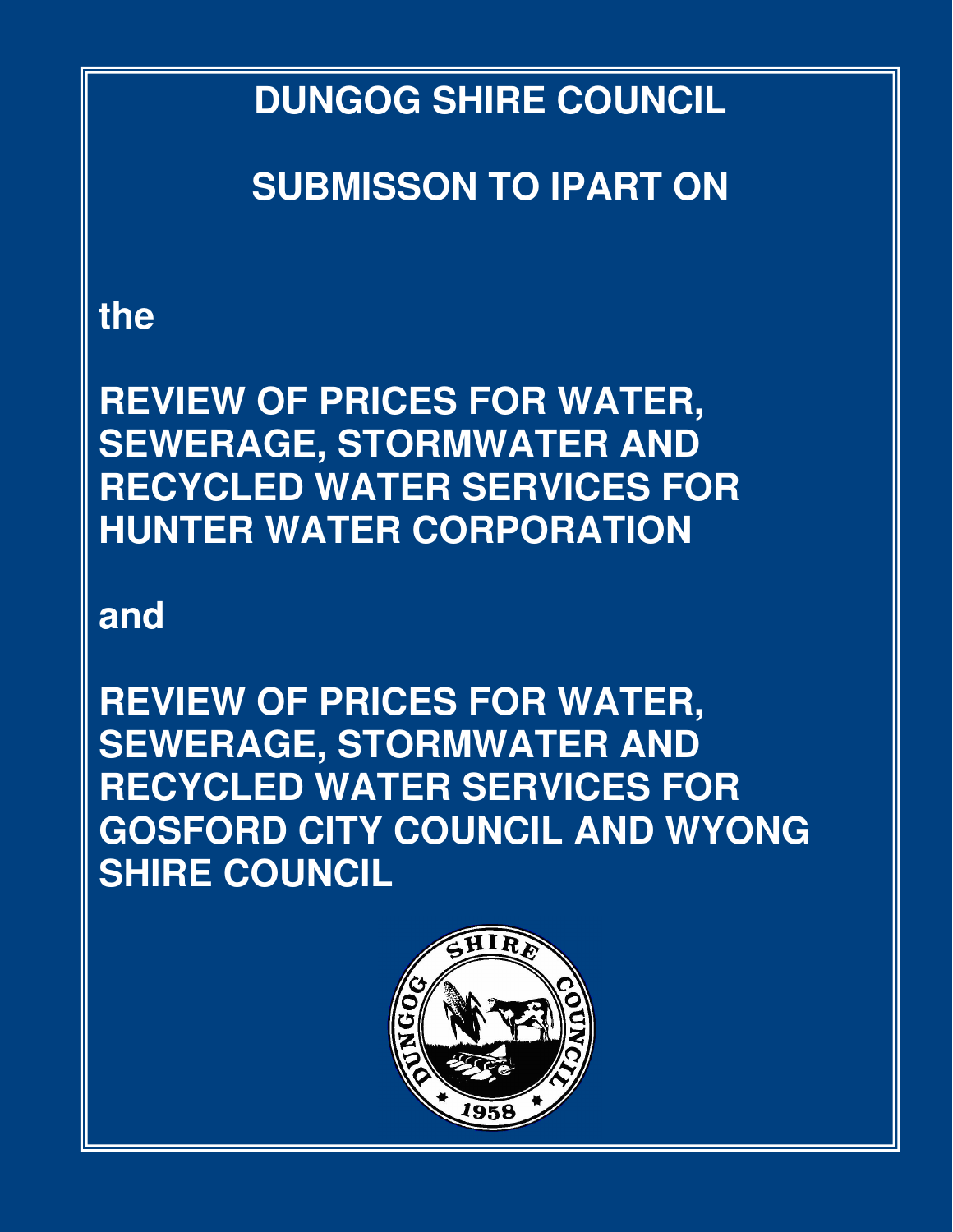**DUNGOG SHIRE COUNCIL** 

**SUBMISSON TO IPART ON** 

# **the**

**REVIEW OF PRICES FOR WATER, SEWERAGE, STORMWATER AND RECYCLED WATER SERVICES FOR HUNTER WATER CORPORATION** 

# **and**

**REVIEW OF PRICES FOR WATER, SEWERAGE, STORMWATER AND RECYCLED WATER SERVICES FOR GOSFORD CITY COUNCIL AND WYONG SHIRE COUNCIL** 

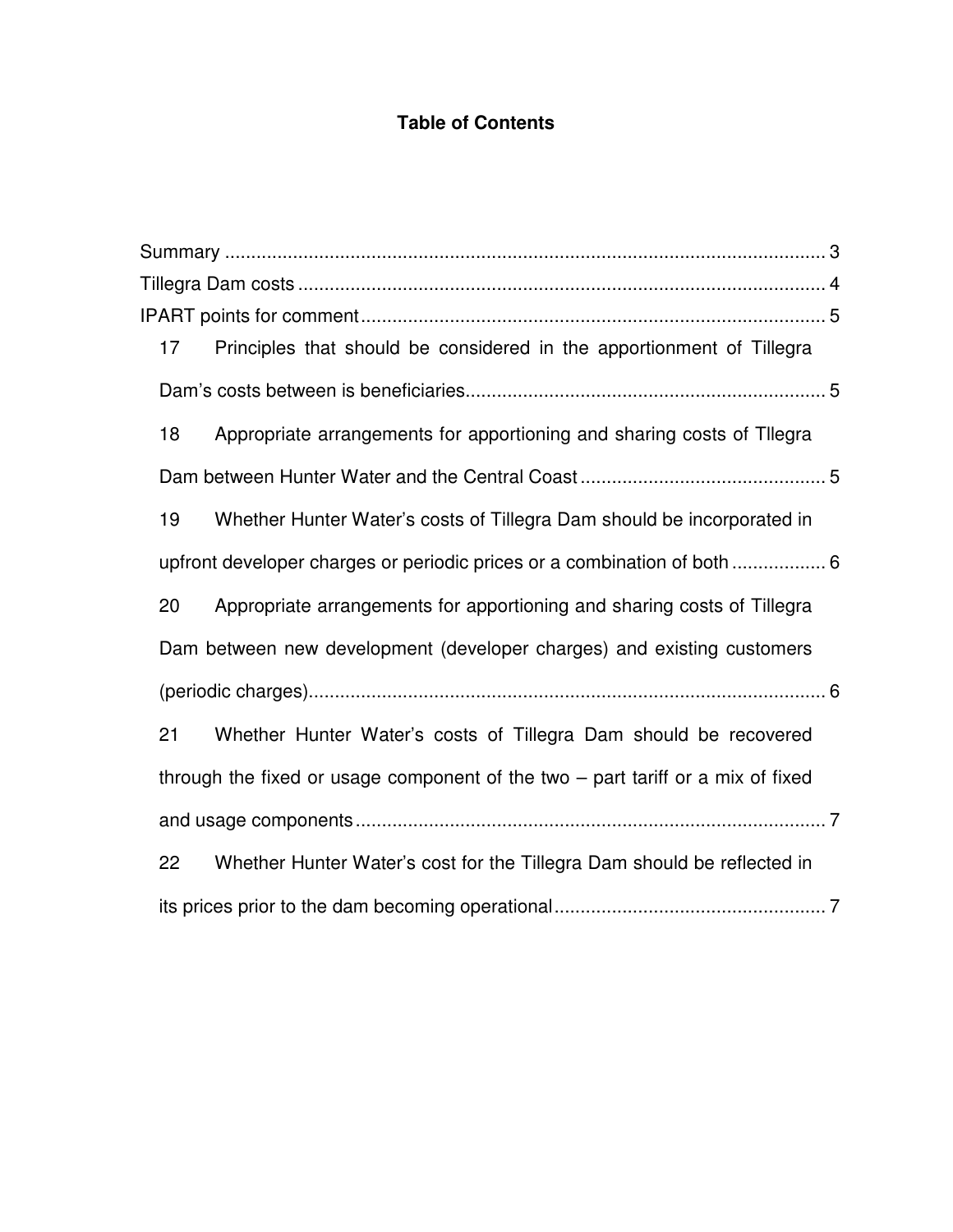#### **Table of Contents**

| 17 | Principles that should be considered in the apportionment of Tillegra             |  |
|----|-----------------------------------------------------------------------------------|--|
|    |                                                                                   |  |
| 18 | Appropriate arrangements for apportioning and sharing costs of Tllegra            |  |
|    |                                                                                   |  |
| 19 | Whether Hunter Water's costs of Tillegra Dam should be incorporated in            |  |
|    | upfront developer charges or periodic prices or a combination of both  6          |  |
| 20 | Appropriate arrangements for apportioning and sharing costs of Tillegra           |  |
|    | Dam between new development (developer charges) and existing customers            |  |
|    |                                                                                   |  |
| 21 | Whether Hunter Water's costs of Tillegra Dam should be recovered                  |  |
|    | through the fixed or usage component of the two $-$ part tariff or a mix of fixed |  |
|    |                                                                                   |  |
| 22 | Whether Hunter Water's cost for the Tillegra Dam should be reflected in           |  |
|    |                                                                                   |  |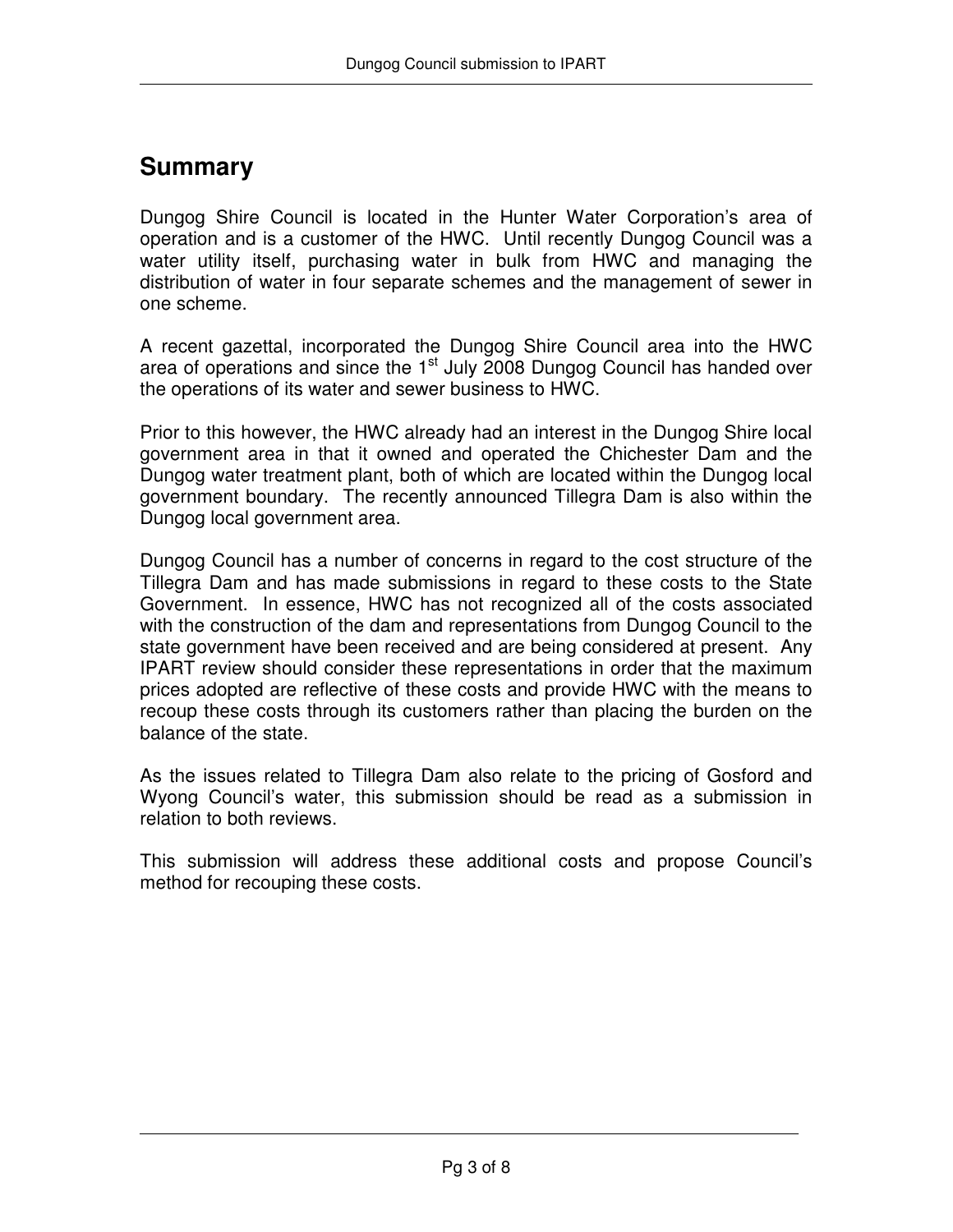## **Summary**

Dungog Shire Council is located in the Hunter Water Corporation's area of operation and is a customer of the HWC. Until recently Dungog Council was a water utility itself, purchasing water in bulk from HWC and managing the distribution of water in four separate schemes and the management of sewer in one scheme.

A recent gazettal, incorporated the Dungog Shire Council area into the HWC area of operations and since the  $1<sup>st</sup>$  July 2008 Dungog Council has handed over the operations of its water and sewer business to HWC.

Prior to this however, the HWC already had an interest in the Dungog Shire local government area in that it owned and operated the Chichester Dam and the Dungog water treatment plant, both of which are located within the Dungog local government boundary. The recently announced Tillegra Dam is also within the Dungog local government area.

Dungog Council has a number of concerns in regard to the cost structure of the Tillegra Dam and has made submissions in regard to these costs to the State Government. In essence, HWC has not recognized all of the costs associated with the construction of the dam and representations from Dungog Council to the state government have been received and are being considered at present. Any IPART review should consider these representations in order that the maximum prices adopted are reflective of these costs and provide HWC with the means to recoup these costs through its customers rather than placing the burden on the balance of the state.

As the issues related to Tillegra Dam also relate to the pricing of Gosford and Wyong Council's water, this submission should be read as a submission in relation to both reviews.

This submission will address these additional costs and propose Council's method for recouping these costs.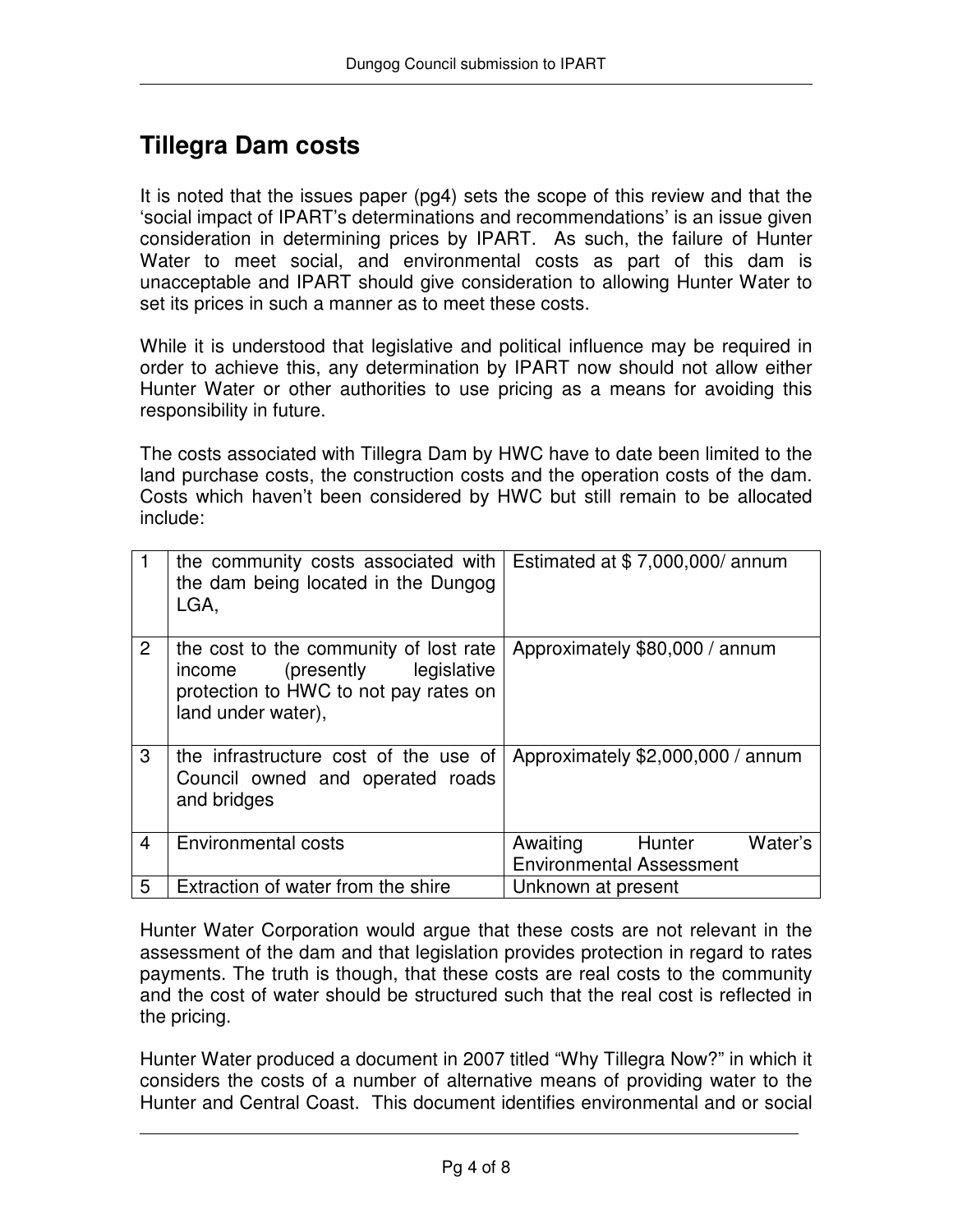## **Tillegra Dam costs**

It is noted that the issues paper (pg4) sets the scope of this review and that the 'social impact of IPART's determinations and recommendations' is an issue given consideration in determining prices by IPART. As such, the failure of Hunter Water to meet social, and environmental costs as part of this dam is unacceptable and IPART should give consideration to allowing Hunter Water to set its prices in such a manner as to meet these costs.

While it is understood that legislative and political influence may be required in order to achieve this, any determination by IPART now should not allow either Hunter Water or other authorities to use pricing as a means for avoiding this responsibility in future.

The costs associated with Tillegra Dam by HWC have to date been limited to the land purchase costs, the construction costs and the operation costs of the dam. Costs which haven't been considered by HWC but still remain to be allocated include:

|                | the community costs associated with<br>the dam being located in the Dungog<br>LGA,                                                        | Estimated at $$7,000,000/$ annum                                 |
|----------------|-------------------------------------------------------------------------------------------------------------------------------------------|------------------------------------------------------------------|
| $\overline{2}$ | the cost to the community of lost rate<br>(presently legislative<br>income<br>protection to HWC to not pay rates on<br>land under water), | Approximately \$80,000 / annum                                   |
| 3              | the infrastructure cost of the use of<br>Council owned and operated roads<br>and bridges                                                  | Approximately \$2,000,000 / annum                                |
| $\overline{4}$ | <b>Environmental costs</b>                                                                                                                | Awaiting<br>Water's<br>Hunter<br><b>Environmental Assessment</b> |
| 5              | Extraction of water from the shire                                                                                                        | Unknown at present                                               |

Hunter Water Corporation would argue that these costs are not relevant in the assessment of the dam and that legislation provides protection in regard to rates payments. The truth is though, that these costs are real costs to the community and the cost of water should be structured such that the real cost is reflected in the pricing.

Hunter Water produced a document in 2007 titled "Why Tillegra Now?" in which it considers the costs of a number of alternative means of providing water to the Hunter and Central Coast. This document identifies environmental and or social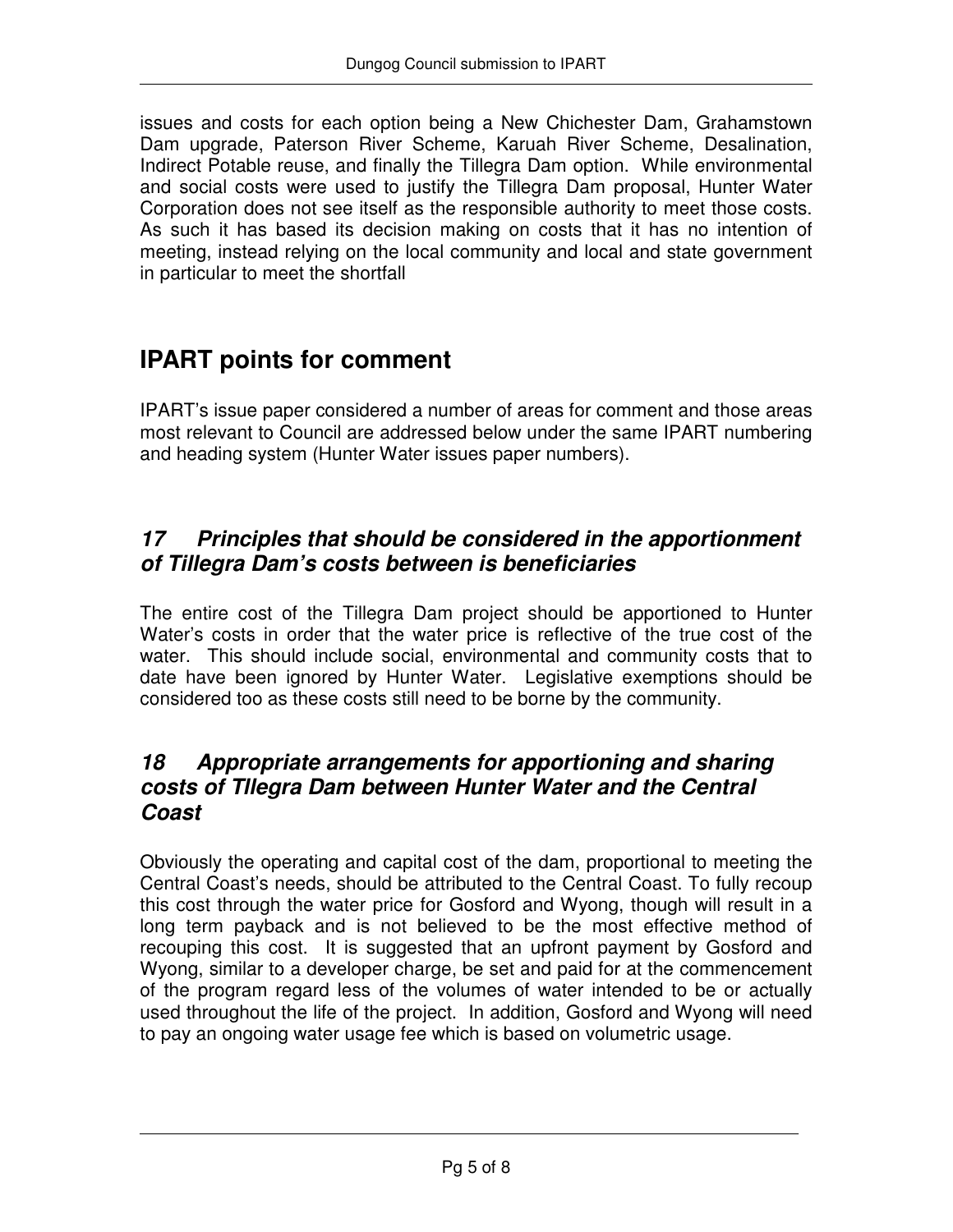issues and costs for each option being a New Chichester Dam, Grahamstown Dam upgrade, Paterson River Scheme, Karuah River Scheme, Desalination, Indirect Potable reuse, and finally the Tillegra Dam option. While environmental and social costs were used to justify the Tillegra Dam proposal, Hunter Water Corporation does not see itself as the responsible authority to meet those costs. As such it has based its decision making on costs that it has no intention of meeting, instead relying on the local community and local and state government in particular to meet the shortfall

## **IPART points for comment**

IPART's issue paper considered a number of areas for comment and those areas most relevant to Council are addressed below under the same IPART numbering and heading system (Hunter Water issues paper numbers).

## **17 Principles that should be considered in the apportionment of Tillegra Dam's costs between is beneficiaries**

The entire cost of the Tillegra Dam project should be apportioned to Hunter Water's costs in order that the water price is reflective of the true cost of the water. This should include social, environmental and community costs that to date have been ignored by Hunter Water. Legislative exemptions should be considered too as these costs still need to be borne by the community.

#### **18 Appropriate arrangements for apportioning and sharing costs of Tllegra Dam between Hunter Water and the Central Coast**

Obviously the operating and capital cost of the dam, proportional to meeting the Central Coast's needs, should be attributed to the Central Coast. To fully recoup this cost through the water price for Gosford and Wyong, though will result in a long term payback and is not believed to be the most effective method of recouping this cost. It is suggested that an upfront payment by Gosford and Wyong, similar to a developer charge, be set and paid for at the commencement of the program regard less of the volumes of water intended to be or actually used throughout the life of the project. In addition, Gosford and Wyong will need to pay an ongoing water usage fee which is based on volumetric usage.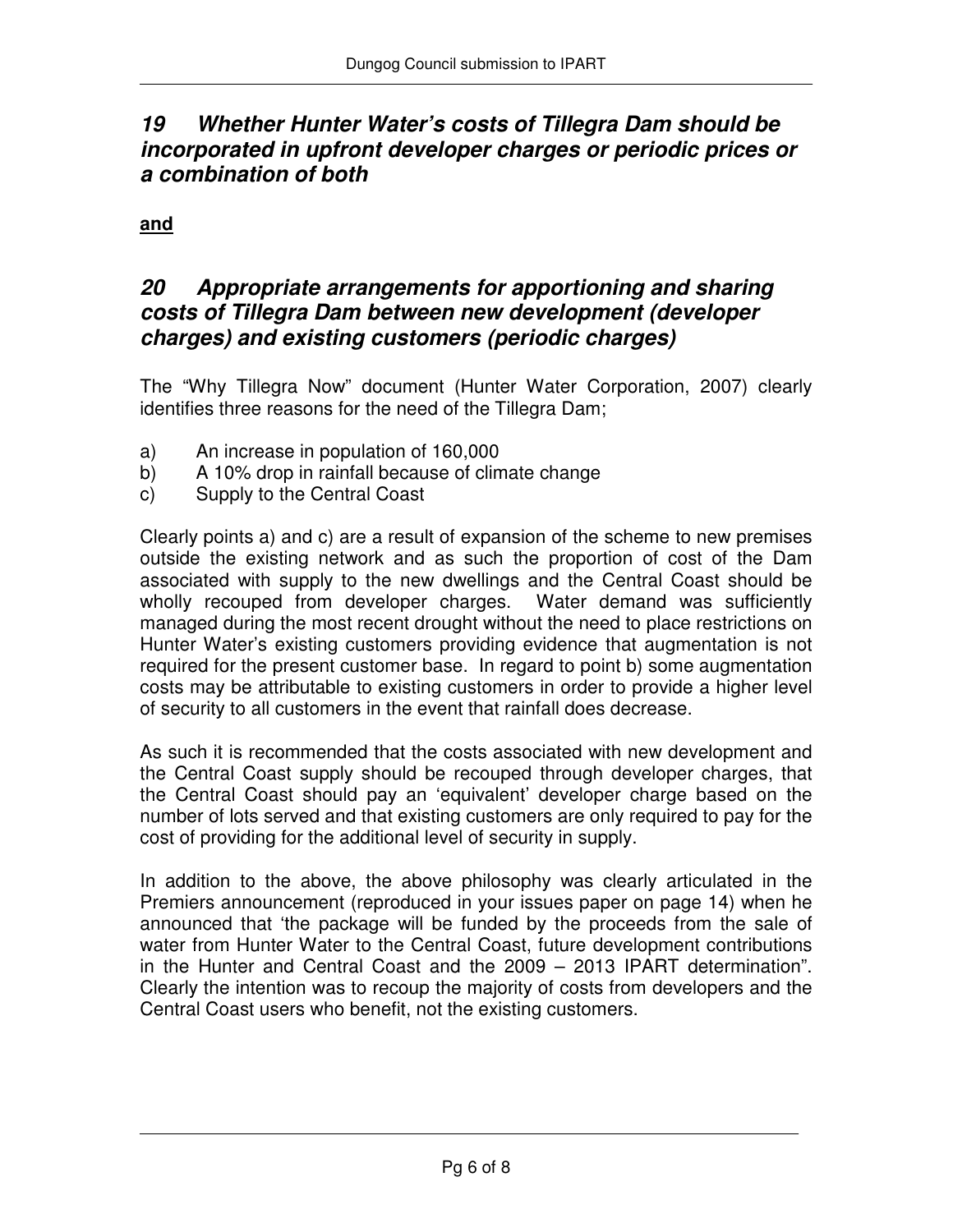### **19 Whether Hunter Water's costs of Tillegra Dam should be incorporated in upfront developer charges or periodic prices or a combination of both**

#### **and**

#### **20 Appropriate arrangements for apportioning and sharing costs of Tillegra Dam between new development (developer charges) and existing customers (periodic charges)**

The "Why Tillegra Now" document (Hunter Water Corporation, 2007) clearly identifies three reasons for the need of the Tillegra Dam;

- a) An increase in population of 160,000
- b) A 10% drop in rainfall because of climate change
- c) Supply to the Central Coast

Clearly points a) and c) are a result of expansion of the scheme to new premises outside the existing network and as such the proportion of cost of the Dam associated with supply to the new dwellings and the Central Coast should be wholly recouped from developer charges. Water demand was sufficiently managed during the most recent drought without the need to place restrictions on Hunter Water's existing customers providing evidence that augmentation is not required for the present customer base. In regard to point b) some augmentation costs may be attributable to existing customers in order to provide a higher level of security to all customers in the event that rainfall does decrease.

As such it is recommended that the costs associated with new development and the Central Coast supply should be recouped through developer charges, that the Central Coast should pay an 'equivalent' developer charge based on the number of lots served and that existing customers are only required to pay for the cost of providing for the additional level of security in supply.

In addition to the above, the above philosophy was clearly articulated in the Premiers announcement (reproduced in your issues paper on page 14) when he announced that 'the package will be funded by the proceeds from the sale of water from Hunter Water to the Central Coast, future development contributions in the Hunter and Central Coast and the 2009 – 2013 IPART determination". Clearly the intention was to recoup the majority of costs from developers and the Central Coast users who benefit, not the existing customers.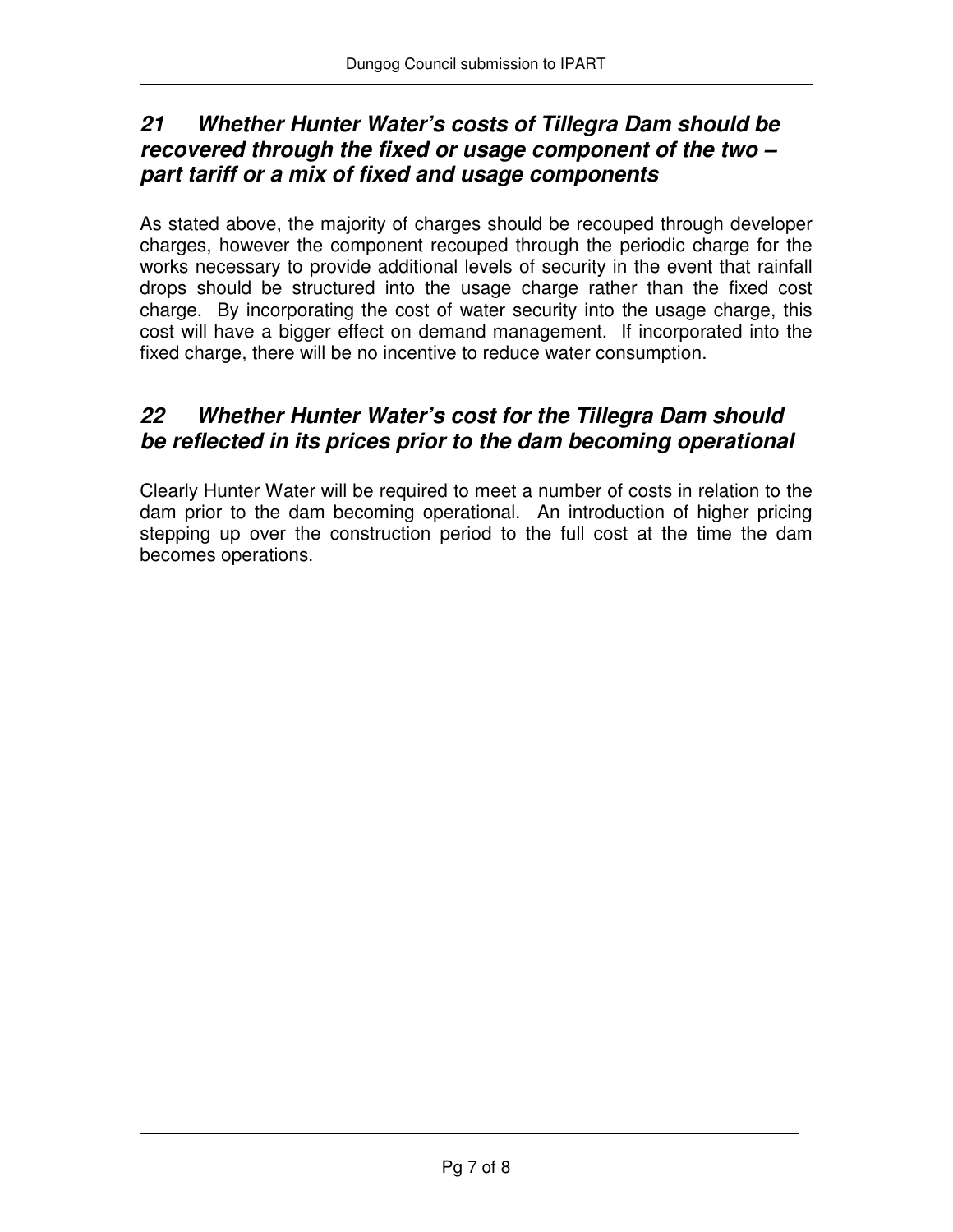## **21 Whether Hunter Water's costs of Tillegra Dam should be recovered through the fixed or usage component of the two – part tariff or a mix of fixed and usage components**

As stated above, the majority of charges should be recouped through developer charges, however the component recouped through the periodic charge for the works necessary to provide additional levels of security in the event that rainfall drops should be structured into the usage charge rather than the fixed cost charge. By incorporating the cost of water security into the usage charge, this cost will have a bigger effect on demand management. If incorporated into the fixed charge, there will be no incentive to reduce water consumption.

## **22 Whether Hunter Water's cost for the Tillegra Dam should be reflected in its prices prior to the dam becoming operational**

Clearly Hunter Water will be required to meet a number of costs in relation to the dam prior to the dam becoming operational. An introduction of higher pricing stepping up over the construction period to the full cost at the time the dam becomes operations.